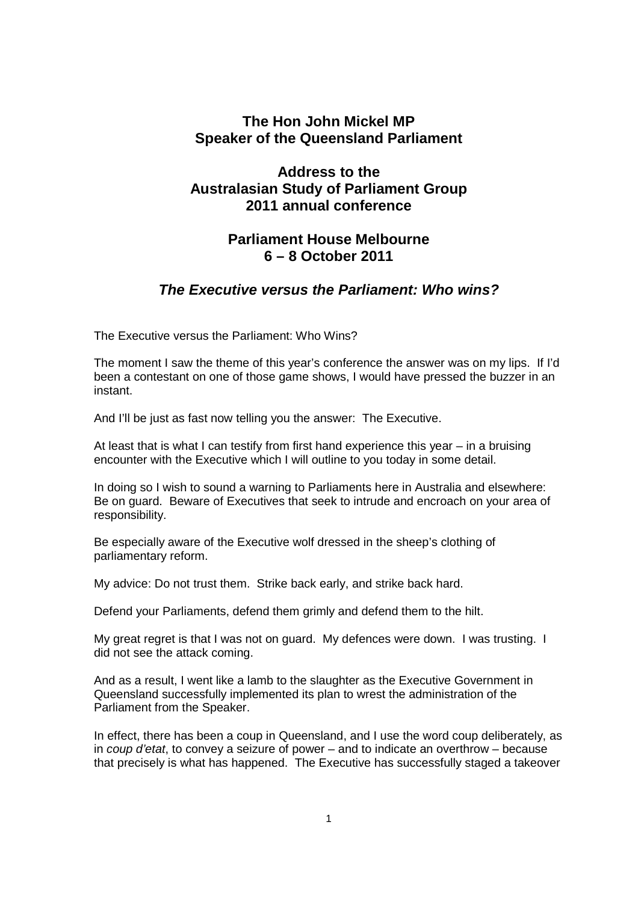#### **The Hon John Mickel MP Speaker of the Queensland Parliament**

# **Address to the Australasian Study of Parliament Group 2011 annual conference**

### **Parliament House Melbourne 6 – 8 October 2011**

## **The Executive versus the Parliament: Who wins?**

The Executive versus the Parliament: Who Wins?

The moment I saw the theme of this year's conference the answer was on my lips. If I'd been a contestant on one of those game shows, I would have pressed the buzzer in an instant.

And I'll be just as fast now telling you the answer: The Executive.

At least that is what I can testify from first hand experience this year – in a bruising encounter with the Executive which I will outline to you today in some detail.

In doing so I wish to sound a warning to Parliaments here in Australia and elsewhere: Be on guard. Beware of Executives that seek to intrude and encroach on your area of responsibility.

Be especially aware of the Executive wolf dressed in the sheep's clothing of parliamentary reform.

My advice: Do not trust them. Strike back early, and strike back hard.

Defend your Parliaments, defend them grimly and defend them to the hilt.

My great regret is that I was not on guard. My defences were down. I was trusting. I did not see the attack coming.

And as a result, I went like a lamb to the slaughter as the Executive Government in Queensland successfully implemented its plan to wrest the administration of the Parliament from the Speaker.

In effect, there has been a coup in Queensland, and I use the word coup deliberately, as in coup d'etat, to convey a seizure of power – and to indicate an overthrow – because that precisely is what has happened. The Executive has successfully staged a takeover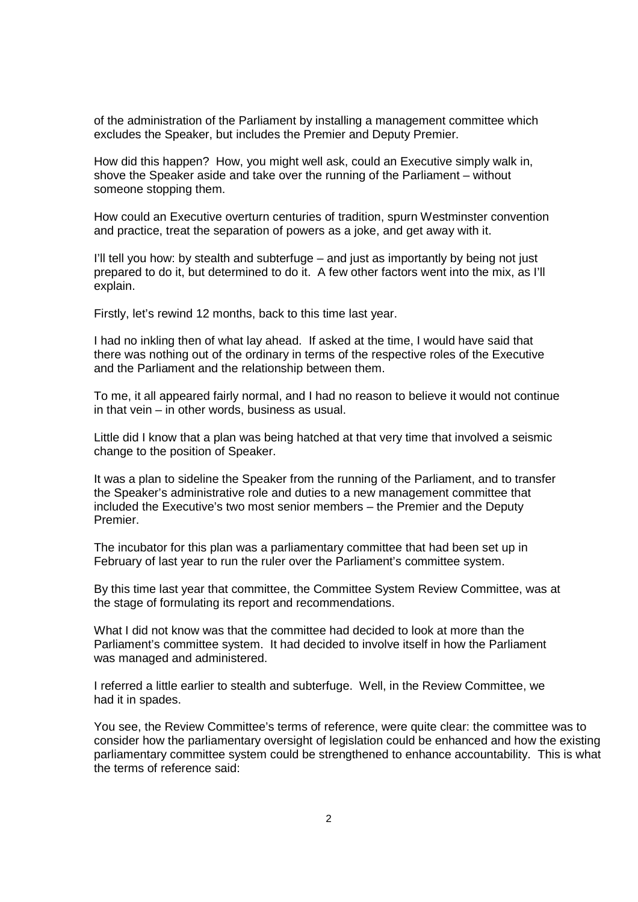of the administration of the Parliament by installing a management committee which excludes the Speaker, but includes the Premier and Deputy Premier.

How did this happen? How, you might well ask, could an Executive simply walk in, shove the Speaker aside and take over the running of the Parliament – without someone stopping them.

How could an Executive overturn centuries of tradition, spurn Westminster convention and practice, treat the separation of powers as a joke, and get away with it.

I'll tell you how: by stealth and subterfuge – and just as importantly by being not just prepared to do it, but determined to do it. A few other factors went into the mix, as I'll explain.

Firstly, let's rewind 12 months, back to this time last year.

I had no inkling then of what lay ahead. If asked at the time, I would have said that there was nothing out of the ordinary in terms of the respective roles of the Executive and the Parliament and the relationship between them.

To me, it all appeared fairly normal, and I had no reason to believe it would not continue in that vein – in other words, business as usual.

Little did I know that a plan was being hatched at that very time that involved a seismic change to the position of Speaker.

It was a plan to sideline the Speaker from the running of the Parliament, and to transfer the Speaker's administrative role and duties to a new management committee that included the Executive's two most senior members – the Premier and the Deputy Premier.

The incubator for this plan was a parliamentary committee that had been set up in February of last year to run the ruler over the Parliament's committee system.

By this time last year that committee, the Committee System Review Committee, was at the stage of formulating its report and recommendations.

What I did not know was that the committee had decided to look at more than the Parliament's committee system. It had decided to involve itself in how the Parliament was managed and administered.

I referred a little earlier to stealth and subterfuge. Well, in the Review Committee, we had it in spades.

You see, the Review Committee's terms of reference, were quite clear: the committee was to consider how the parliamentary oversight of legislation could be enhanced and how the existing parliamentary committee system could be strengthened to enhance accountability. This is what the terms of reference said: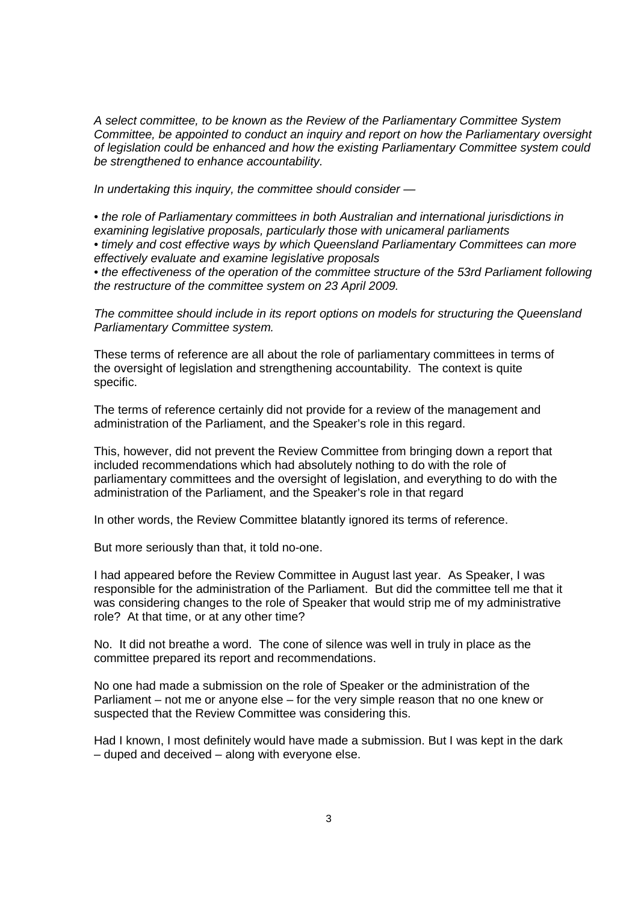A select committee, to be known as the Review of the Parliamentary Committee System Committee, be appointed to conduct an inquiry and report on how the Parliamentary oversight of legislation could be enhanced and how the existing Parliamentary Committee system could be strengthened to enhance accountability.

In undertaking this inquiry, the committee should consider —

• the role of Parliamentary committees in both Australian and international jurisdictions in examining legislative proposals, particularly those with unicameral parliaments • timely and cost effective ways by which Queensland Parliamentary Committees can more effectively evaluate and examine legislative proposals

• the effectiveness of the operation of the committee structure of the 53rd Parliament following the restructure of the committee system on 23 April 2009.

The committee should include in its report options on models for structuring the Queensland Parliamentary Committee system.

These terms of reference are all about the role of parliamentary committees in terms of the oversight of legislation and strengthening accountability. The context is quite specific.

The terms of reference certainly did not provide for a review of the management and administration of the Parliament, and the Speaker's role in this regard.

This, however, did not prevent the Review Committee from bringing down a report that included recommendations which had absolutely nothing to do with the role of parliamentary committees and the oversight of legislation, and everything to do with the administration of the Parliament, and the Speaker's role in that regard

In other words, the Review Committee blatantly ignored its terms of reference.

But more seriously than that, it told no-one.

I had appeared before the Review Committee in August last year. As Speaker, I was responsible for the administration of the Parliament. But did the committee tell me that it was considering changes to the role of Speaker that would strip me of my administrative role? At that time, or at any other time?

No. It did not breathe a word. The cone of silence was well in truly in place as the committee prepared its report and recommendations.

No one had made a submission on the role of Speaker or the administration of the Parliament – not me or anyone else – for the very simple reason that no one knew or suspected that the Review Committee was considering this.

Had I known, I most definitely would have made a submission. But I was kept in the dark – duped and deceived – along with everyone else.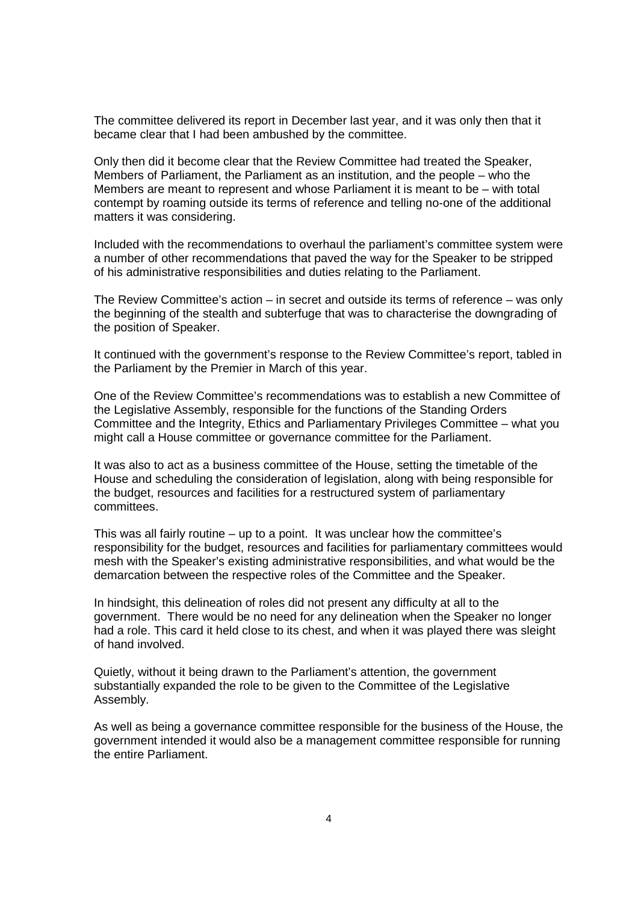The committee delivered its report in December last year, and it was only then that it became clear that I had been ambushed by the committee.

Only then did it become clear that the Review Committee had treated the Speaker, Members of Parliament, the Parliament as an institution, and the people – who the Members are meant to represent and whose Parliament it is meant to be – with total contempt by roaming outside its terms of reference and telling no-one of the additional matters it was considering.

Included with the recommendations to overhaul the parliament's committee system were a number of other recommendations that paved the way for the Speaker to be stripped of his administrative responsibilities and duties relating to the Parliament.

The Review Committee's action – in secret and outside its terms of reference – was only the beginning of the stealth and subterfuge that was to characterise the downgrading of the position of Speaker.

It continued with the government's response to the Review Committee's report, tabled in the Parliament by the Premier in March of this year.

One of the Review Committee's recommendations was to establish a new Committee of the Legislative Assembly, responsible for the functions of the Standing Orders Committee and the Integrity, Ethics and Parliamentary Privileges Committee – what you might call a House committee or governance committee for the Parliament.

It was also to act as a business committee of the House, setting the timetable of the House and scheduling the consideration of legislation, along with being responsible for the budget, resources and facilities for a restructured system of parliamentary committees.

This was all fairly routine – up to a point. It was unclear how the committee's responsibility for the budget, resources and facilities for parliamentary committees would mesh with the Speaker's existing administrative responsibilities, and what would be the demarcation between the respective roles of the Committee and the Speaker.

In hindsight, this delineation of roles did not present any difficulty at all to the government. There would be no need for any delineation when the Speaker no longer had a role. This card it held close to its chest, and when it was played there was sleight of hand involved.

Quietly, without it being drawn to the Parliament's attention, the government substantially expanded the role to be given to the Committee of the Legislative Assembly.

As well as being a governance committee responsible for the business of the House, the government intended it would also be a management committee responsible for running the entire Parliament.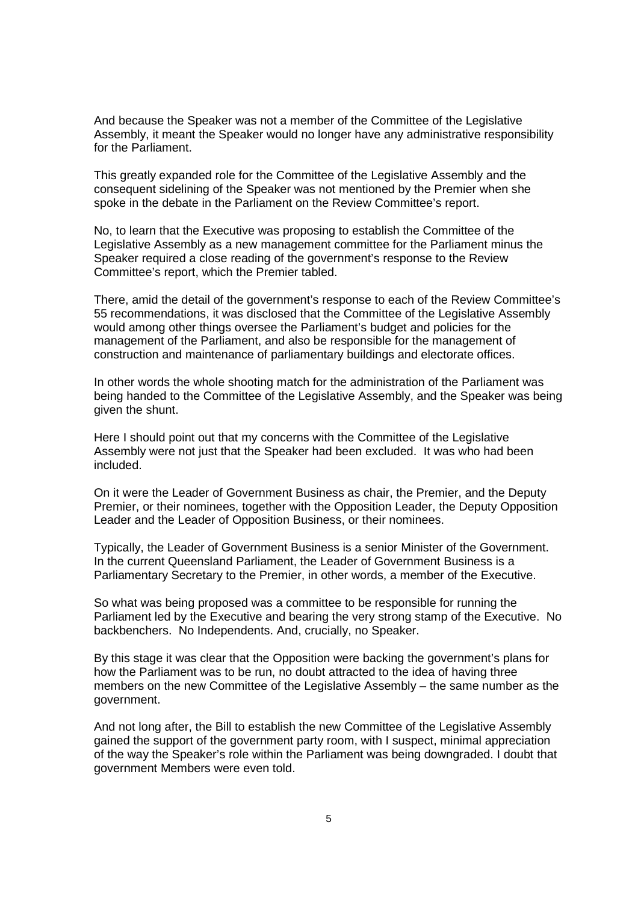And because the Speaker was not a member of the Committee of the Legislative Assembly, it meant the Speaker would no longer have any administrative responsibility for the Parliament.

This greatly expanded role for the Committee of the Legislative Assembly and the consequent sidelining of the Speaker was not mentioned by the Premier when she spoke in the debate in the Parliament on the Review Committee's report.

No, to learn that the Executive was proposing to establish the Committee of the Legislative Assembly as a new management committee for the Parliament minus the Speaker required a close reading of the government's response to the Review Committee's report, which the Premier tabled.

There, amid the detail of the government's response to each of the Review Committee's 55 recommendations, it was disclosed that the Committee of the Legislative Assembly would among other things oversee the Parliament's budget and policies for the management of the Parliament, and also be responsible for the management of construction and maintenance of parliamentary buildings and electorate offices.

In other words the whole shooting match for the administration of the Parliament was being handed to the Committee of the Legislative Assembly, and the Speaker was being given the shunt.

Here I should point out that my concerns with the Committee of the Legislative Assembly were not just that the Speaker had been excluded. It was who had been included.

On it were the Leader of Government Business as chair, the Premier, and the Deputy Premier, or their nominees, together with the Opposition Leader, the Deputy Opposition Leader and the Leader of Opposition Business, or their nominees.

Typically, the Leader of Government Business is a senior Minister of the Government. In the current Queensland Parliament, the Leader of Government Business is a Parliamentary Secretary to the Premier, in other words, a member of the Executive.

So what was being proposed was a committee to be responsible for running the Parliament led by the Executive and bearing the very strong stamp of the Executive. No backbenchers. No Independents. And, crucially, no Speaker.

By this stage it was clear that the Opposition were backing the government's plans for how the Parliament was to be run, no doubt attracted to the idea of having three members on the new Committee of the Legislative Assembly – the same number as the government.

And not long after, the Bill to establish the new Committee of the Legislative Assembly gained the support of the government party room, with I suspect, minimal appreciation of the way the Speaker's role within the Parliament was being downgraded. I doubt that government Members were even told.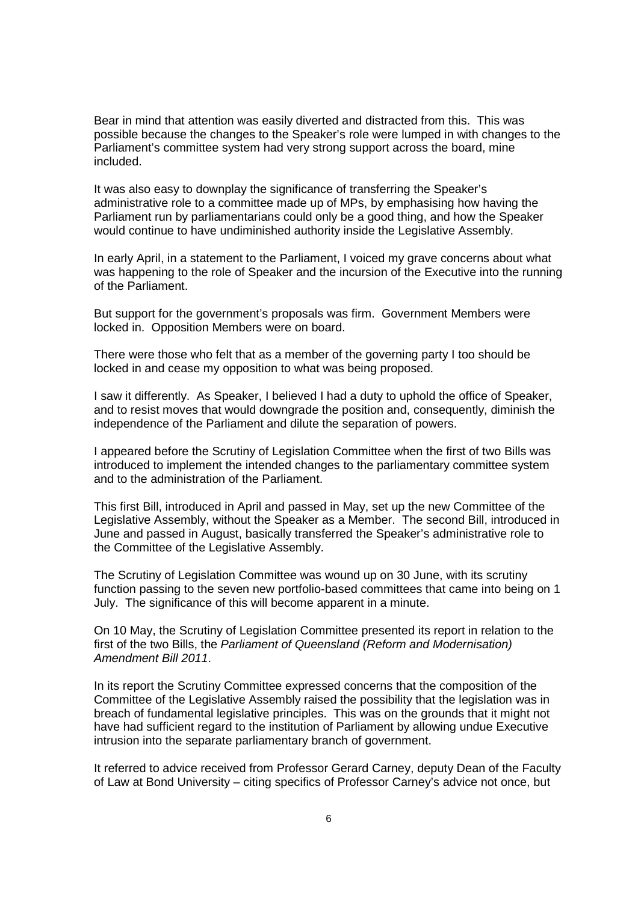Bear in mind that attention was easily diverted and distracted from this. This was possible because the changes to the Speaker's role were lumped in with changes to the Parliament's committee system had very strong support across the board, mine included.

It was also easy to downplay the significance of transferring the Speaker's administrative role to a committee made up of MPs, by emphasising how having the Parliament run by parliamentarians could only be a good thing, and how the Speaker would continue to have undiminished authority inside the Legislative Assembly.

In early April, in a statement to the Parliament, I voiced my grave concerns about what was happening to the role of Speaker and the incursion of the Executive into the running of the Parliament.

But support for the government's proposals was firm. Government Members were locked in. Opposition Members were on board.

There were those who felt that as a member of the governing party I too should be locked in and cease my opposition to what was being proposed.

I saw it differently. As Speaker, I believed I had a duty to uphold the office of Speaker, and to resist moves that would downgrade the position and, consequently, diminish the independence of the Parliament and dilute the separation of powers.

I appeared before the Scrutiny of Legislation Committee when the first of two Bills was introduced to implement the intended changes to the parliamentary committee system and to the administration of the Parliament.

This first Bill, introduced in April and passed in May, set up the new Committee of the Legislative Assembly, without the Speaker as a Member. The second Bill, introduced in June and passed in August, basically transferred the Speaker's administrative role to the Committee of the Legislative Assembly.

The Scrutiny of Legislation Committee was wound up on 30 June, with its scrutiny function passing to the seven new portfolio-based committees that came into being on 1 July. The significance of this will become apparent in a minute.

On 10 May, the Scrutiny of Legislation Committee presented its report in relation to the first of the two Bills, the Parliament of Queensland (Reform and Modernisation) Amendment Bill 2011.

In its report the Scrutiny Committee expressed concerns that the composition of the Committee of the Legislative Assembly raised the possibility that the legislation was in breach of fundamental legislative principles. This was on the grounds that it might not have had sufficient regard to the institution of Parliament by allowing undue Executive intrusion into the separate parliamentary branch of government.

It referred to advice received from Professor Gerard Carney, deputy Dean of the Faculty of Law at Bond University – citing specifics of Professor Carney's advice not once, but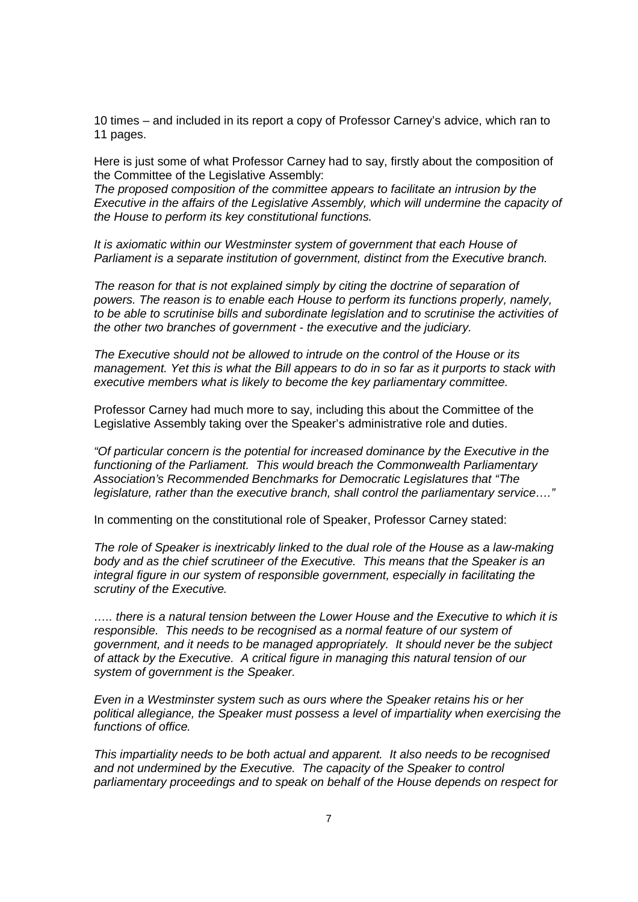10 times – and included in its report a copy of Professor Carney's advice, which ran to 11 pages.

Here is just some of what Professor Carney had to say, firstly about the composition of the Committee of the Legislative Assembly:

The proposed composition of the committee appears to facilitate an intrusion by the Executive in the affairs of the Legislative Assembly, which will undermine the capacity of the House to perform its key constitutional functions.

It is axiomatic within our Westminster system of government that each House of Parliament is a separate institution of government, distinct from the Executive branch.

The reason for that is not explained simply by citing the doctrine of separation of powers. The reason is to enable each House to perform its functions properly, namely, to be able to scrutinise bills and subordinate legislation and to scrutinise the activities of the other two branches of government - the executive and the judiciary.

The Executive should not be allowed to intrude on the control of the House or its management. Yet this is what the Bill appears to do in so far as it purports to stack with executive members what is likely to become the key parliamentary committee.

Professor Carney had much more to say, including this about the Committee of the Legislative Assembly taking over the Speaker's administrative role and duties.

"Of particular concern is the potential for increased dominance by the Executive in the functioning of the Parliament. This would breach the Commonwealth Parliamentary Association's Recommended Benchmarks for Democratic Legislatures that "The legislature, rather than the executive branch, shall control the parliamentary service…."

In commenting on the constitutional role of Speaker, Professor Carney stated:

The role of Speaker is inextricably linked to the dual role of the House as a law-making body and as the chief scrutineer of the Executive. This means that the Speaker is an integral figure in our system of responsible government, especially in facilitating the scrutiny of the Executive.

….. there is a natural tension between the Lower House and the Executive to which it is responsible. This needs to be recognised as a normal feature of our system of government, and it needs to be managed appropriately. It should never be the subject of attack by the Executive. A critical figure in managing this natural tension of our system of government is the Speaker.

Even in a Westminster system such as ours where the Speaker retains his or her political allegiance, the Speaker must possess a level of impartiality when exercising the functions of office.

This impartiality needs to be both actual and apparent. It also needs to be recognised and not undermined by the Executive. The capacity of the Speaker to control parliamentary proceedings and to speak on behalf of the House depends on respect for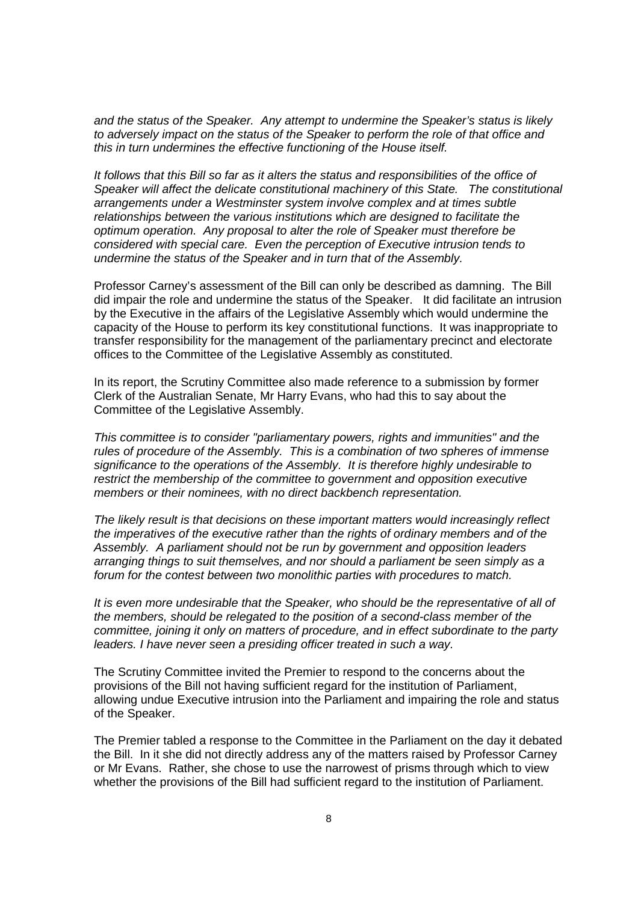and the status of the Speaker. Any attempt to undermine the Speaker's status is likely to adversely impact on the status of the Speaker to perform the role of that office and this in turn undermines the effective functioning of the House itself.

It follows that this Bill so far as it alters the status and responsibilities of the office of Speaker will affect the delicate constitutional machinery of this State. The constitutional arrangements under a Westminster system involve complex and at times subtle relationships between the various institutions which are designed to facilitate the optimum operation. Any proposal to alter the role of Speaker must therefore be considered with special care. Even the perception of Executive intrusion tends to undermine the status of the Speaker and in turn that of the Assembly.

Professor Carney's assessment of the Bill can only be described as damning. The Bill did impair the role and undermine the status of the Speaker. It did facilitate an intrusion by the Executive in the affairs of the Legislative Assembly which would undermine the capacity of the House to perform its key constitutional functions. It was inappropriate to transfer responsibility for the management of the parliamentary precinct and electorate offices to the Committee of the Legislative Assembly as constituted.

In its report, the Scrutiny Committee also made reference to a submission by former Clerk of the Australian Senate, Mr Harry Evans, who had this to say about the Committee of the Legislative Assembly.

This committee is to consider "parliamentary powers, rights and immunities" and the rules of procedure of the Assembly. This is a combination of two spheres of immense significance to the operations of the Assembly. It is therefore highly undesirable to restrict the membership of the committee to government and opposition executive members or their nominees, with no direct backbench representation.

The likely result is that decisions on these important matters would increasingly reflect the imperatives of the executive rather than the rights of ordinary members and of the Assembly. A parliament should not be run by government and opposition leaders arranging things to suit themselves, and nor should a parliament be seen simply as a forum for the contest between two monolithic parties with procedures to match.

It is even more undesirable that the Speaker, who should be the representative of all of the members, should be relegated to the position of a second-class member of the committee, joining it only on matters of procedure, and in effect subordinate to the party leaders. I have never seen a presiding officer treated in such a way.

The Scrutiny Committee invited the Premier to respond to the concerns about the provisions of the Bill not having sufficient regard for the institution of Parliament, allowing undue Executive intrusion into the Parliament and impairing the role and status of the Speaker.

The Premier tabled a response to the Committee in the Parliament on the day it debated the Bill. In it she did not directly address any of the matters raised by Professor Carney or Mr Evans. Rather, she chose to use the narrowest of prisms through which to view whether the provisions of the Bill had sufficient regard to the institution of Parliament.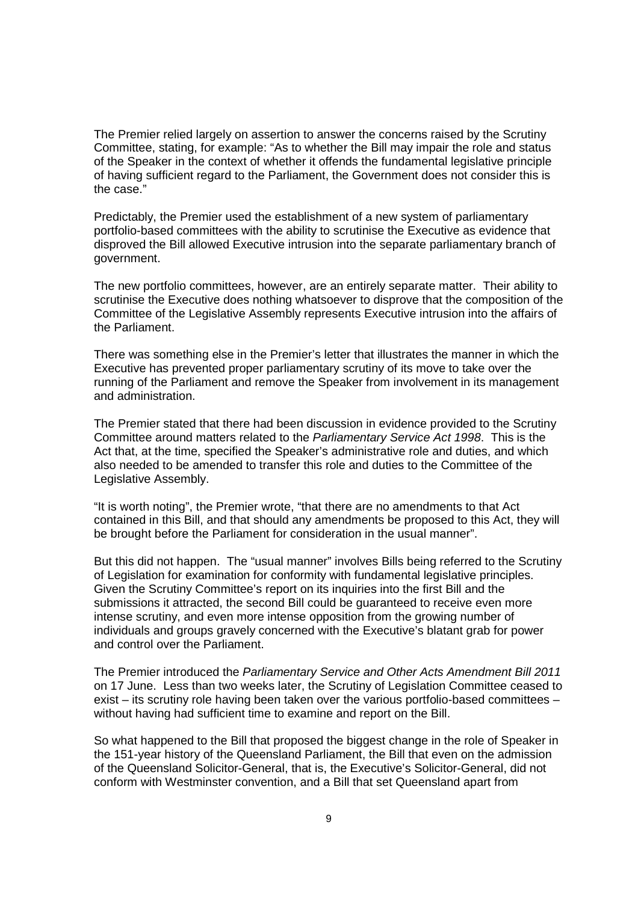The Premier relied largely on assertion to answer the concerns raised by the Scrutiny Committee, stating, for example: "As to whether the Bill may impair the role and status of the Speaker in the context of whether it offends the fundamental legislative principle of having sufficient regard to the Parliament, the Government does not consider this is the case."

Predictably, the Premier used the establishment of a new system of parliamentary portfolio-based committees with the ability to scrutinise the Executive as evidence that disproved the Bill allowed Executive intrusion into the separate parliamentary branch of government.

The new portfolio committees, however, are an entirely separate matter. Their ability to scrutinise the Executive does nothing whatsoever to disprove that the composition of the Committee of the Legislative Assembly represents Executive intrusion into the affairs of the Parliament.

There was something else in the Premier's letter that illustrates the manner in which the Executive has prevented proper parliamentary scrutiny of its move to take over the running of the Parliament and remove the Speaker from involvement in its management and administration.

The Premier stated that there had been discussion in evidence provided to the Scrutiny Committee around matters related to the Parliamentary Service Act 1998. This is the Act that, at the time, specified the Speaker's administrative role and duties, and which also needed to be amended to transfer this role and duties to the Committee of the Legislative Assembly.

"It is worth noting", the Premier wrote, "that there are no amendments to that Act contained in this Bill, and that should any amendments be proposed to this Act, they will be brought before the Parliament for consideration in the usual manner".

But this did not happen. The "usual manner" involves Bills being referred to the Scrutiny of Legislation for examination for conformity with fundamental legislative principles. Given the Scrutiny Committee's report on its inquiries into the first Bill and the submissions it attracted, the second Bill could be guaranteed to receive even more intense scrutiny, and even more intense opposition from the growing number of individuals and groups gravely concerned with the Executive's blatant grab for power and control over the Parliament.

The Premier introduced the Parliamentary Service and Other Acts Amendment Bill 2011 on 17 June. Less than two weeks later, the Scrutiny of Legislation Committee ceased to exist – its scrutiny role having been taken over the various portfolio-based committees – without having had sufficient time to examine and report on the Bill.

So what happened to the Bill that proposed the biggest change in the role of Speaker in the 151-year history of the Queensland Parliament, the Bill that even on the admission of the Queensland Solicitor-General, that is, the Executive's Solicitor-General, did not conform with Westminster convention, and a Bill that set Queensland apart from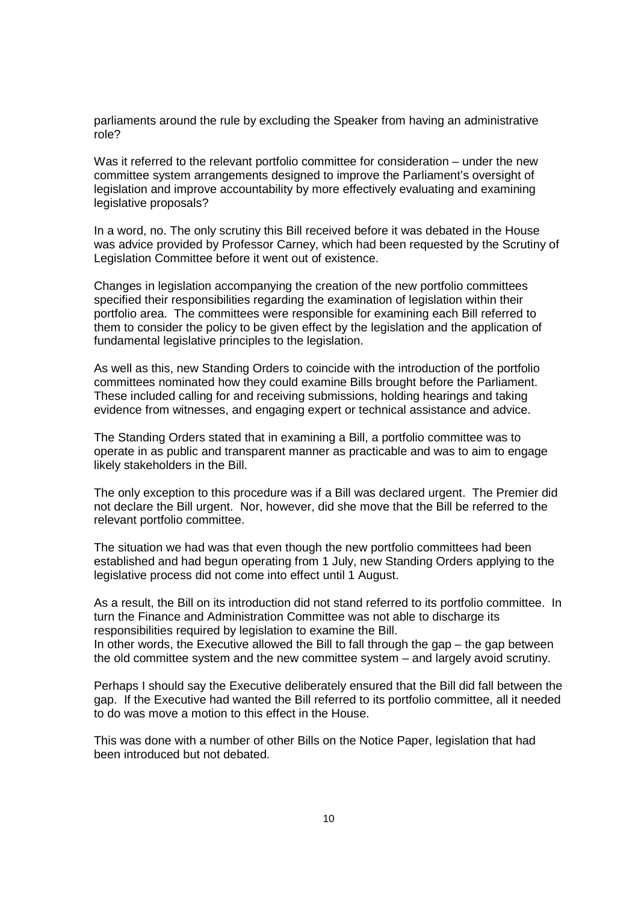parliaments around the rule by excluding the Speaker from having an administrative role?

Was it referred to the relevant portfolio committee for consideration – under the new committee system arrangements designed to improve the Parliament's oversight of legislation and improve accountability by more effectively evaluating and examining legislative proposals?

In a word, no. The only scrutiny this Bill received before it was debated in the House was advice provided by Professor Carney, which had been requested by the Scrutiny of Legislation Committee before it went out of existence.

Changes in legislation accompanying the creation of the new portfolio committees specified their responsibilities regarding the examination of legislation within their portfolio area. The committees were responsible for examining each Bill referred to them to consider the policy to be given effect by the legislation and the application of fundamental legislative principles to the legislation.

As well as this, new Standing Orders to coincide with the introduction of the portfolio committees nominated how they could examine Bills brought before the Parliament. These included calling for and receiving submissions, holding hearings and taking evidence from witnesses, and engaging expert or technical assistance and advice.

The Standing Orders stated that in examining a Bill, a portfolio committee was to operate in as public and transparent manner as practicable and was to aim to engage likely stakeholders in the Bill.

The only exception to this procedure was if a Bill was declared urgent. The Premier did not declare the Bill urgent. Nor, however, did she move that the Bill be referred to the relevant portfolio committee.

The situation we had was that even though the new portfolio committees had been established and had begun operating from 1 July, new Standing Orders applying to the legislative process did not come into effect until 1 August.

As a result, the Bill on its introduction did not stand referred to its portfolio committee. In turn the Finance and Administration Committee was not able to discharge its responsibilities required by legislation to examine the Bill. In other words, the Executive allowed the Bill to fall through the gap  $-$  the gap between

the old committee system and the new committee system – and largely avoid scrutiny.

Perhaps I should say the Executive deliberately ensured that the Bill did fall between the gap. If the Executive had wanted the Bill referred to its portfolio committee, all it needed to do was move a motion to this effect in the House.

This was done with a number of other Bills on the Notice Paper, legislation that had been introduced but not debated.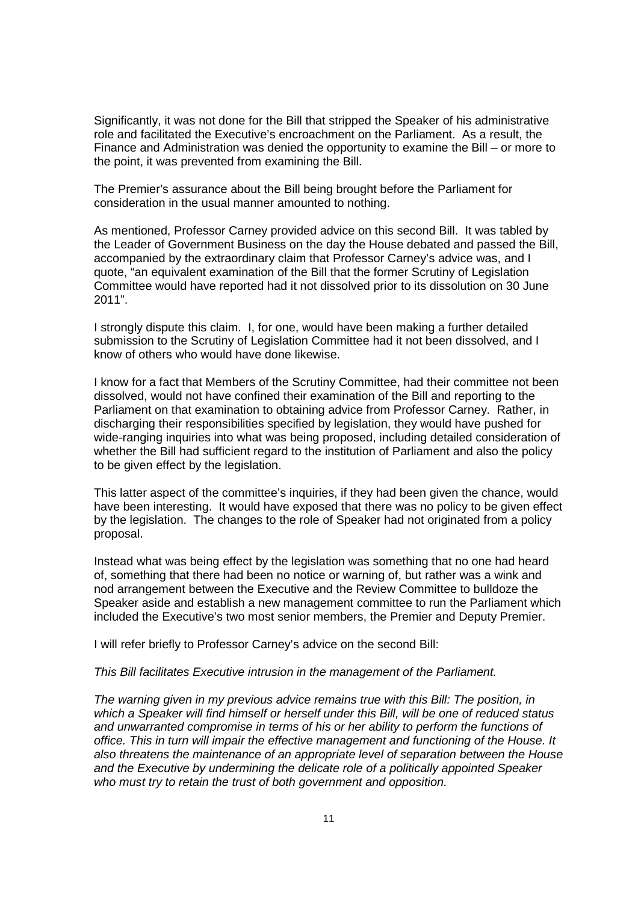Significantly, it was not done for the Bill that stripped the Speaker of his administrative role and facilitated the Executive's encroachment on the Parliament. As a result, the Finance and Administration was denied the opportunity to examine the Bill – or more to the point, it was prevented from examining the Bill.

The Premier's assurance about the Bill being brought before the Parliament for consideration in the usual manner amounted to nothing.

As mentioned, Professor Carney provided advice on this second Bill. It was tabled by the Leader of Government Business on the day the House debated and passed the Bill, accompanied by the extraordinary claim that Professor Carney's advice was, and I quote, "an equivalent examination of the Bill that the former Scrutiny of Legislation Committee would have reported had it not dissolved prior to its dissolution on 30 June 2011".

I strongly dispute this claim. I, for one, would have been making a further detailed submission to the Scrutiny of Legislation Committee had it not been dissolved, and I know of others who would have done likewise.

I know for a fact that Members of the Scrutiny Committee, had their committee not been dissolved, would not have confined their examination of the Bill and reporting to the Parliament on that examination to obtaining advice from Professor Carney. Rather, in discharging their responsibilities specified by legislation, they would have pushed for wide-ranging inquiries into what was being proposed, including detailed consideration of whether the Bill had sufficient regard to the institution of Parliament and also the policy to be given effect by the legislation.

This latter aspect of the committee's inquiries, if they had been given the chance, would have been interesting. It would have exposed that there was no policy to be given effect by the legislation. The changes to the role of Speaker had not originated from a policy proposal.

Instead what was being effect by the legislation was something that no one had heard of, something that there had been no notice or warning of, but rather was a wink and nod arrangement between the Executive and the Review Committee to bulldoze the Speaker aside and establish a new management committee to run the Parliament which included the Executive's two most senior members, the Premier and Deputy Premier.

I will refer briefly to Professor Carney's advice on the second Bill:

#### This Bill facilitates Executive intrusion in the management of the Parliament.

The warning given in my previous advice remains true with this Bill: The position, in which a Speaker will find himself or herself under this Bill, will be one of reduced status and unwarranted compromise in terms of his or her ability to perform the functions of office. This in turn will impair the effective management and functioning of the House. It also threatens the maintenance of an appropriate level of separation between the House and the Executive by undermining the delicate role of a politically appointed Speaker who must try to retain the trust of both government and opposition.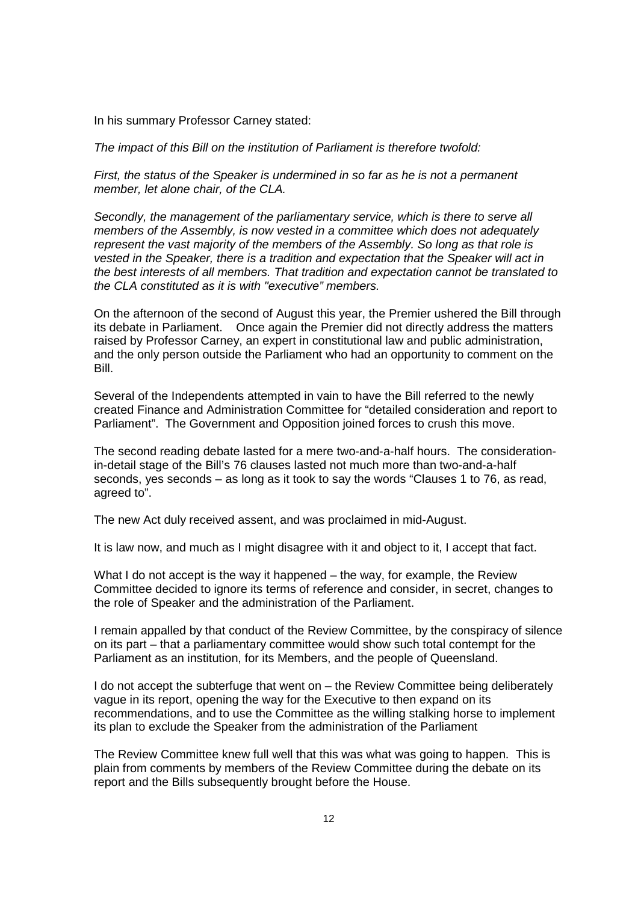In his summary Professor Carney stated:

The impact of this Bill on the institution of Parliament is therefore twofold:

First, the status of the Speaker is undermined in so far as he is not a permanent member, let alone chair, of the CLA.

Secondly, the management of the parliamentary service, which is there to serve all members of the Assembly, is now vested in a committee which does not adequately represent the vast majority of the members of the Assembly. So long as that role is vested in the Speaker, there is a tradition and expectation that the Speaker will act in the best interests of all members. That tradition and expectation cannot be translated to the CLA constituted as it is with "executive" members.

On the afternoon of the second of August this year, the Premier ushered the Bill through its debate in Parliament. Once again the Premier did not directly address the matters raised by Professor Carney, an expert in constitutional law and public administration, and the only person outside the Parliament who had an opportunity to comment on the Bill.

Several of the Independents attempted in vain to have the Bill referred to the newly created Finance and Administration Committee for "detailed consideration and report to Parliament". The Government and Opposition joined forces to crush this move.

The second reading debate lasted for a mere two-and-a-half hours. The considerationin-detail stage of the Bill's 76 clauses lasted not much more than two-and-a-half seconds, yes seconds – as long as it took to say the words "Clauses 1 to 76, as read, agreed to".

The new Act duly received assent, and was proclaimed in mid-August.

It is law now, and much as I might disagree with it and object to it, I accept that fact.

What I do not accept is the way it happened – the way, for example, the Review Committee decided to ignore its terms of reference and consider, in secret, changes to the role of Speaker and the administration of the Parliament.

I remain appalled by that conduct of the Review Committee, by the conspiracy of silence on its part – that a parliamentary committee would show such total contempt for the Parliament as an institution, for its Members, and the people of Queensland.

I do not accept the subterfuge that went on – the Review Committee being deliberately vague in its report, opening the way for the Executive to then expand on its recommendations, and to use the Committee as the willing stalking horse to implement its plan to exclude the Speaker from the administration of the Parliament

The Review Committee knew full well that this was what was going to happen. This is plain from comments by members of the Review Committee during the debate on its report and the Bills subsequently brought before the House.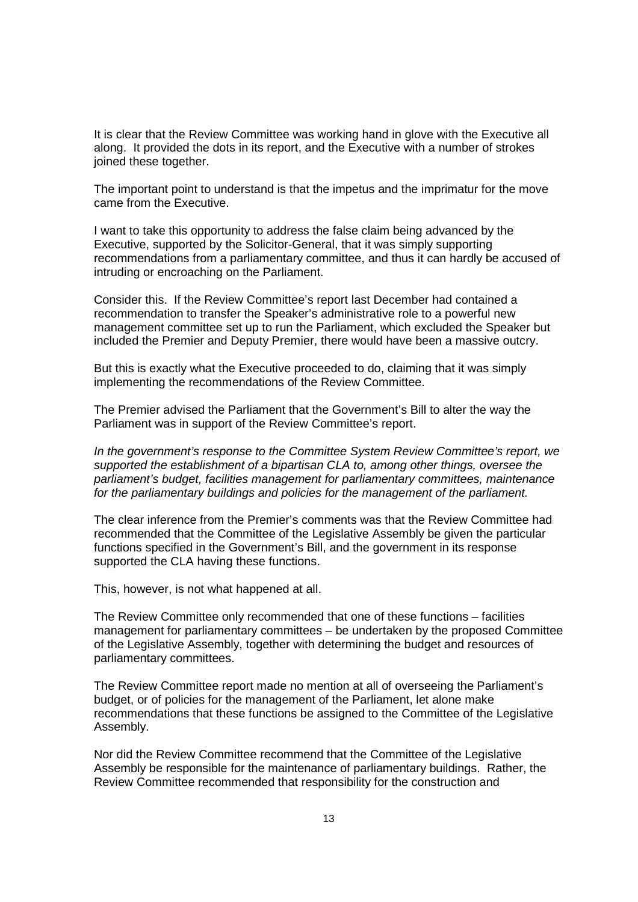It is clear that the Review Committee was working hand in glove with the Executive all along. It provided the dots in its report, and the Executive with a number of strokes joined these together.

The important point to understand is that the impetus and the imprimatur for the move came from the Executive.

I want to take this opportunity to address the false claim being advanced by the Executive, supported by the Solicitor-General, that it was simply supporting recommendations from a parliamentary committee, and thus it can hardly be accused of intruding or encroaching on the Parliament.

Consider this. If the Review Committee's report last December had contained a recommendation to transfer the Speaker's administrative role to a powerful new management committee set up to run the Parliament, which excluded the Speaker but included the Premier and Deputy Premier, there would have been a massive outcry.

But this is exactly what the Executive proceeded to do, claiming that it was simply implementing the recommendations of the Review Committee.

The Premier advised the Parliament that the Government's Bill to alter the way the Parliament was in support of the Review Committee's report.

In the government's response to the Committee System Review Committee's report, we supported the establishment of a bipartisan CLA to, among other things, oversee the parliament's budget, facilities management for parliamentary committees, maintenance for the parliamentary buildings and policies for the management of the parliament.

The clear inference from the Premier's comments was that the Review Committee had recommended that the Committee of the Legislative Assembly be given the particular functions specified in the Government's Bill, and the government in its response supported the CLA having these functions.

This, however, is not what happened at all.

The Review Committee only recommended that one of these functions – facilities management for parliamentary committees – be undertaken by the proposed Committee of the Legislative Assembly, together with determining the budget and resources of parliamentary committees.

The Review Committee report made no mention at all of overseeing the Parliament's budget, or of policies for the management of the Parliament, let alone make recommendations that these functions be assigned to the Committee of the Legislative Assembly.

Nor did the Review Committee recommend that the Committee of the Legislative Assembly be responsible for the maintenance of parliamentary buildings. Rather, the Review Committee recommended that responsibility for the construction and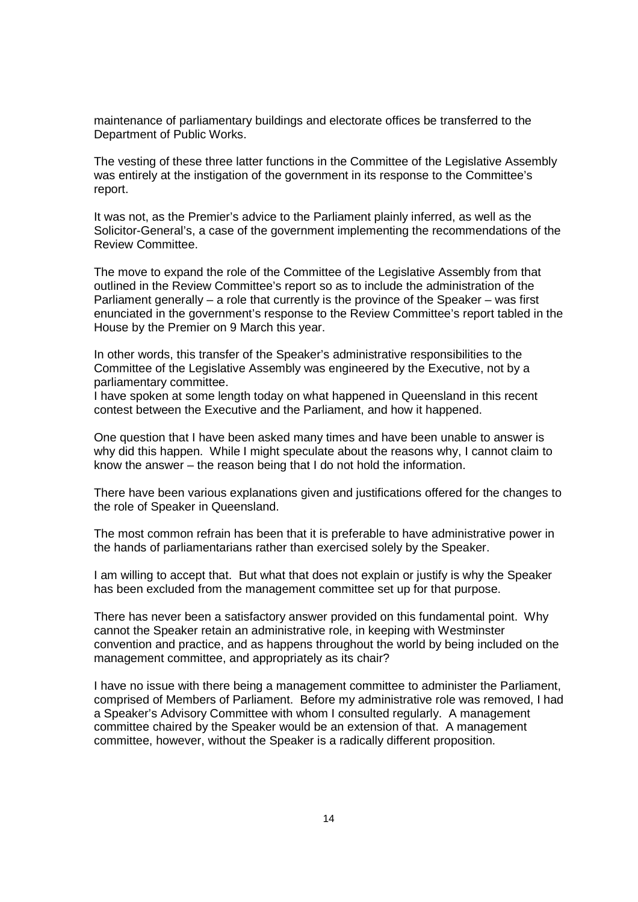maintenance of parliamentary buildings and electorate offices be transferred to the Department of Public Works.

The vesting of these three latter functions in the Committee of the Legislative Assembly was entirely at the instigation of the government in its response to the Committee's report.

It was not, as the Premier's advice to the Parliament plainly inferred, as well as the Solicitor-General's, a case of the government implementing the recommendations of the Review Committee.

The move to expand the role of the Committee of the Legislative Assembly from that outlined in the Review Committee's report so as to include the administration of the Parliament generally – a role that currently is the province of the Speaker – was first enunciated in the government's response to the Review Committee's report tabled in the House by the Premier on 9 March this year.

In other words, this transfer of the Speaker's administrative responsibilities to the Committee of the Legislative Assembly was engineered by the Executive, not by a parliamentary committee.

I have spoken at some length today on what happened in Queensland in this recent contest between the Executive and the Parliament, and how it happened.

One question that I have been asked many times and have been unable to answer is why did this happen. While I might speculate about the reasons why, I cannot claim to know the answer – the reason being that I do not hold the information.

There have been various explanations given and justifications offered for the changes to the role of Speaker in Queensland.

The most common refrain has been that it is preferable to have administrative power in the hands of parliamentarians rather than exercised solely by the Speaker.

I am willing to accept that. But what that does not explain or justify is why the Speaker has been excluded from the management committee set up for that purpose.

There has never been a satisfactory answer provided on this fundamental point. Why cannot the Speaker retain an administrative role, in keeping with Westminster convention and practice, and as happens throughout the world by being included on the management committee, and appropriately as its chair?

I have no issue with there being a management committee to administer the Parliament, comprised of Members of Parliament. Before my administrative role was removed, I had a Speaker's Advisory Committee with whom I consulted regularly. A management committee chaired by the Speaker would be an extension of that. A management committee, however, without the Speaker is a radically different proposition.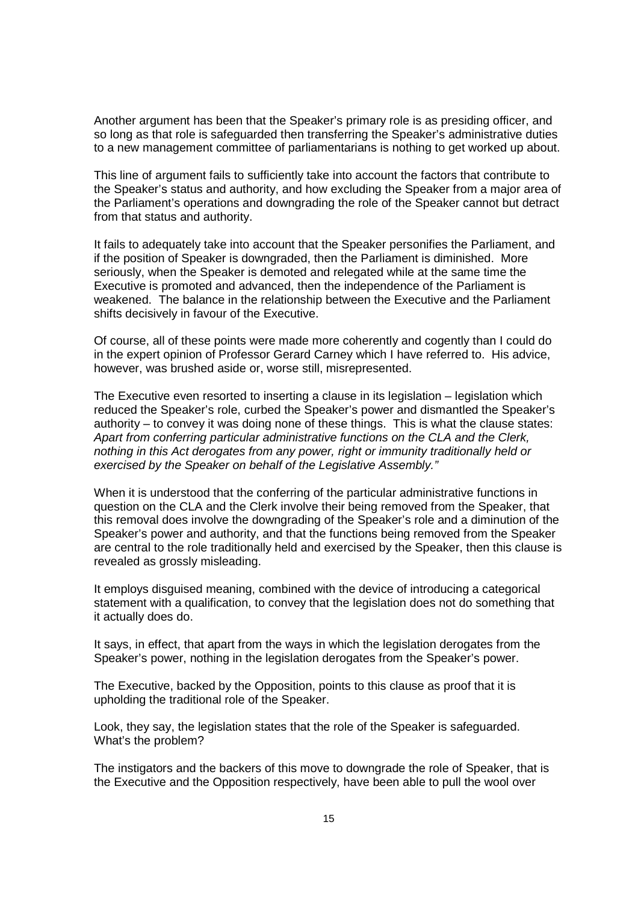Another argument has been that the Speaker's primary role is as presiding officer, and so long as that role is safeguarded then transferring the Speaker's administrative duties to a new management committee of parliamentarians is nothing to get worked up about.

This line of argument fails to sufficiently take into account the factors that contribute to the Speaker's status and authority, and how excluding the Speaker from a major area of the Parliament's operations and downgrading the role of the Speaker cannot but detract from that status and authority.

It fails to adequately take into account that the Speaker personifies the Parliament, and if the position of Speaker is downgraded, then the Parliament is diminished. More seriously, when the Speaker is demoted and relegated while at the same time the Executive is promoted and advanced, then the independence of the Parliament is weakened. The balance in the relationship between the Executive and the Parliament shifts decisively in favour of the Executive.

Of course, all of these points were made more coherently and cogently than I could do in the expert opinion of Professor Gerard Carney which I have referred to. His advice, however, was brushed aside or, worse still, misrepresented.

The Executive even resorted to inserting a clause in its legislation – legislation which reduced the Speaker's role, curbed the Speaker's power and dismantled the Speaker's authority – to convey it was doing none of these things. This is what the clause states: Apart from conferring particular administrative functions on the CLA and the Clerk, nothing in this Act derogates from any power, right or immunity traditionally held or exercised by the Speaker on behalf of the Legislative Assembly."

When it is understood that the conferring of the particular administrative functions in question on the CLA and the Clerk involve their being removed from the Speaker, that this removal does involve the downgrading of the Speaker's role and a diminution of the Speaker's power and authority, and that the functions being removed from the Speaker are central to the role traditionally held and exercised by the Speaker, then this clause is revealed as grossly misleading.

It employs disguised meaning, combined with the device of introducing a categorical statement with a qualification, to convey that the legislation does not do something that it actually does do.

It says, in effect, that apart from the ways in which the legislation derogates from the Speaker's power, nothing in the legislation derogates from the Speaker's power.

The Executive, backed by the Opposition, points to this clause as proof that it is upholding the traditional role of the Speaker.

Look, they say, the legislation states that the role of the Speaker is safeguarded. What's the problem?

The instigators and the backers of this move to downgrade the role of Speaker, that is the Executive and the Opposition respectively, have been able to pull the wool over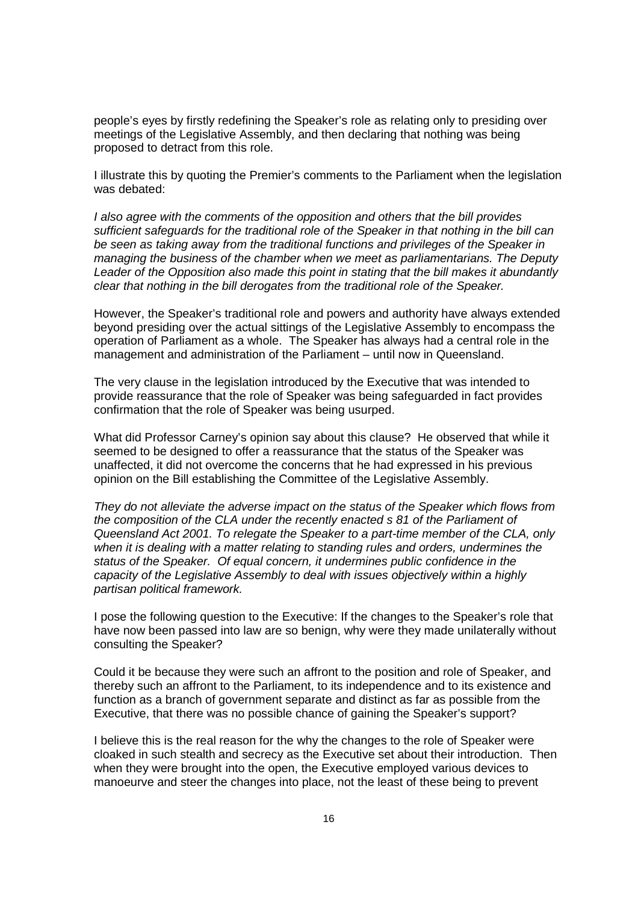people's eyes by firstly redefining the Speaker's role as relating only to presiding over meetings of the Legislative Assembly, and then declaring that nothing was being proposed to detract from this role.

I illustrate this by quoting the Premier's comments to the Parliament when the legislation was debated:

I also agree with the comments of the opposition and others that the bill provides sufficient safeguards for the traditional role of the Speaker in that nothing in the bill can be seen as taking away from the traditional functions and privileges of the Speaker in managing the business of the chamber when we meet as parliamentarians. The Deputy Leader of the Opposition also made this point in stating that the bill makes it abundantly clear that nothing in the bill derogates from the traditional role of the Speaker.

However, the Speaker's traditional role and powers and authority have always extended beyond presiding over the actual sittings of the Legislative Assembly to encompass the operation of Parliament as a whole. The Speaker has always had a central role in the management and administration of the Parliament – until now in Queensland.

The very clause in the legislation introduced by the Executive that was intended to provide reassurance that the role of Speaker was being safeguarded in fact provides confirmation that the role of Speaker was being usurped.

What did Professor Carney's opinion say about this clause? He observed that while it seemed to be designed to offer a reassurance that the status of the Speaker was unaffected, it did not overcome the concerns that he had expressed in his previous opinion on the Bill establishing the Committee of the Legislative Assembly.

They do not alleviate the adverse impact on the status of the Speaker which flows from the composition of the CLA under the recently enacted s 81 of the Parliament of Queensland Act 2001. To relegate the Speaker to a part-time member of the CLA, only when it is dealing with a matter relating to standing rules and orders, undermines the status of the Speaker. Of equal concern, it undermines public confidence in the capacity of the Legislative Assembly to deal with issues objectively within a highly partisan political framework.

I pose the following question to the Executive: If the changes to the Speaker's role that have now been passed into law are so benign, why were they made unilaterally without consulting the Speaker?

Could it be because they were such an affront to the position and role of Speaker, and thereby such an affront to the Parliament, to its independence and to its existence and function as a branch of government separate and distinct as far as possible from the Executive, that there was no possible chance of gaining the Speaker's support?

I believe this is the real reason for the why the changes to the role of Speaker were cloaked in such stealth and secrecy as the Executive set about their introduction. Then when they were brought into the open, the Executive employed various devices to manoeurve and steer the changes into place, not the least of these being to prevent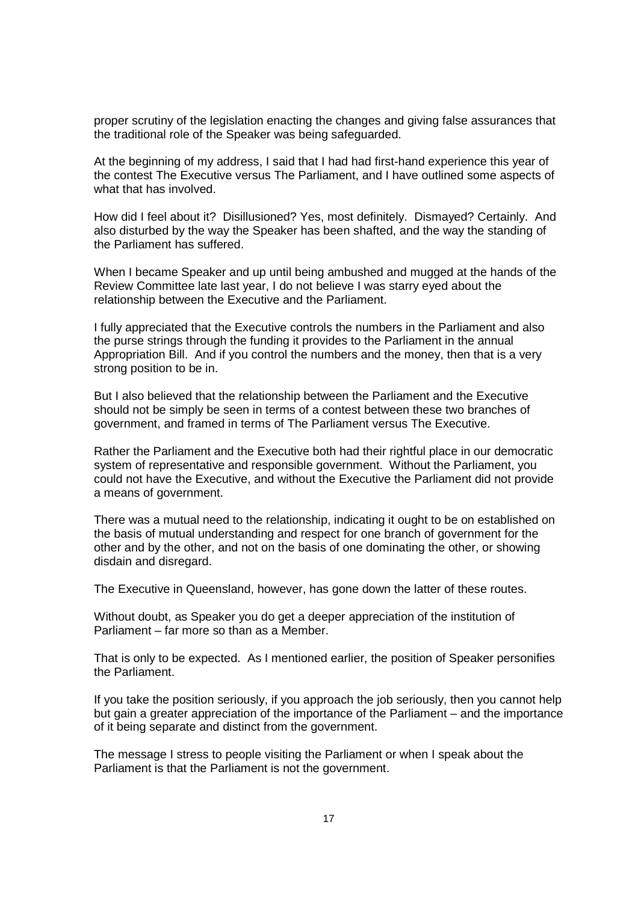proper scrutiny of the legislation enacting the changes and giving false assurances that the traditional role of the Speaker was being safeguarded.

At the beginning of my address, I said that I had had first-hand experience this year of the contest The Executive versus The Parliament, and I have outlined some aspects of what that has involved.

How did I feel about it? Disillusioned? Yes, most definitely. Dismayed? Certainly. And also disturbed by the way the Speaker has been shafted, and the way the standing of the Parliament has suffered.

When I became Speaker and up until being ambushed and mugged at the hands of the Review Committee late last year, I do not believe I was starry eyed about the relationship between the Executive and the Parliament.

I fully appreciated that the Executive controls the numbers in the Parliament and also the purse strings through the funding it provides to the Parliament in the annual Appropriation Bill. And if you control the numbers and the money, then that is a very strong position to be in.

But I also believed that the relationship between the Parliament and the Executive should not be simply be seen in terms of a contest between these two branches of government, and framed in terms of The Parliament versus The Executive.

Rather the Parliament and the Executive both had their rightful place in our democratic system of representative and responsible government. Without the Parliament, you could not have the Executive, and without the Executive the Parliament did not provide a means of government.

There was a mutual need to the relationship, indicating it ought to be on established on the basis of mutual understanding and respect for one branch of government for the other and by the other, and not on the basis of one dominating the other, or showing disdain and disregard.

The Executive in Queensland, however, has gone down the latter of these routes.

Without doubt, as Speaker you do get a deeper appreciation of the institution of Parliament – far more so than as a Member.

That is only to be expected. As I mentioned earlier, the position of Speaker personifies the Parliament.

If you take the position seriously, if you approach the job seriously, then you cannot help but gain a greater appreciation of the importance of the Parliament – and the importance of it being separate and distinct from the government.

The message I stress to people visiting the Parliament or when I speak about the Parliament is that the Parliament is not the government.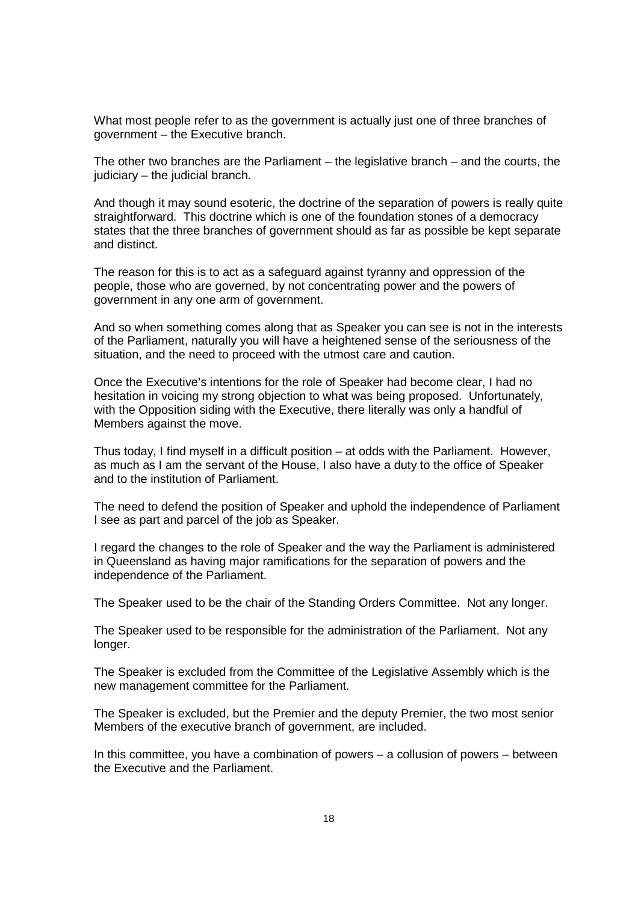What most people refer to as the government is actually just one of three branches of government – the Executive branch.

The other two branches are the Parliament – the legislative branch – and the courts, the judiciary – the judicial branch.

And though it may sound esoteric, the doctrine of the separation of powers is really quite straightforward. This doctrine which is one of the foundation stones of a democracy states that the three branches of government should as far as possible be kept separate and distinct.

The reason for this is to act as a safeguard against tyranny and oppression of the people, those who are governed, by not concentrating power and the powers of government in any one arm of government.

And so when something comes along that as Speaker you can see is not in the interests of the Parliament, naturally you will have a heightened sense of the seriousness of the situation, and the need to proceed with the utmost care and caution.

Once the Executive's intentions for the role of Speaker had become clear, I had no hesitation in voicing my strong objection to what was being proposed. Unfortunately, with the Opposition siding with the Executive, there literally was only a handful of Members against the move.

Thus today, I find myself in a difficult position – at odds with the Parliament. However, as much as I am the servant of the House, I also have a duty to the office of Speaker and to the institution of Parliament.

The need to defend the position of Speaker and uphold the independence of Parliament I see as part and parcel of the job as Speaker.

I regard the changes to the role of Speaker and the way the Parliament is administered in Queensland as having major ramifications for the separation of powers and the independence of the Parliament.

The Speaker used to be the chair of the Standing Orders Committee. Not any longer.

The Speaker used to be responsible for the administration of the Parliament. Not any longer.

The Speaker is excluded from the Committee of the Legislative Assembly which is the new management committee for the Parliament.

The Speaker is excluded, but the Premier and the deputy Premier, the two most senior Members of the executive branch of government, are included.

In this committee, you have a combination of powers – a collusion of powers – between the Executive and the Parliament.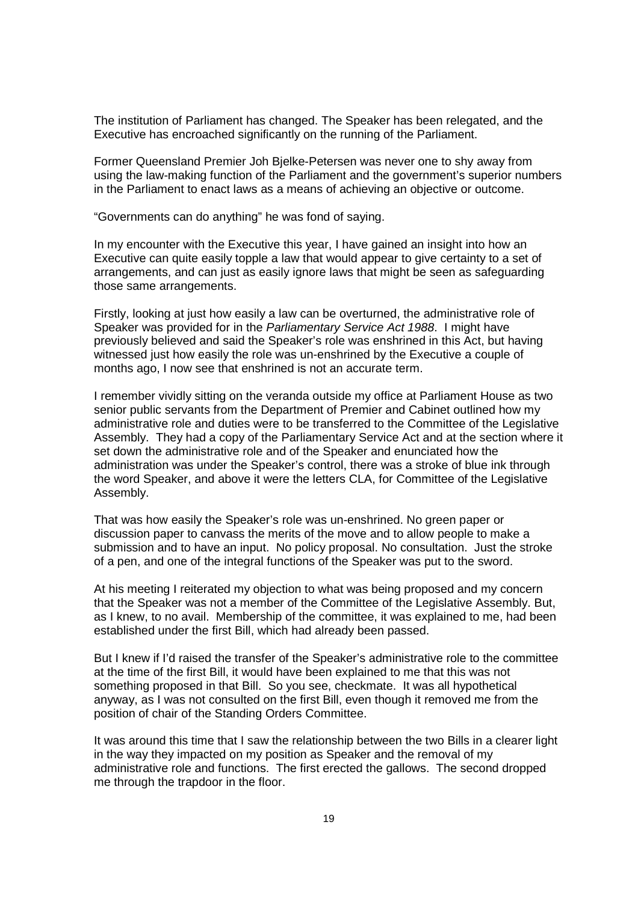The institution of Parliament has changed. The Speaker has been relegated, and the Executive has encroached significantly on the running of the Parliament.

Former Queensland Premier Joh Bjelke-Petersen was never one to shy away from using the law-making function of the Parliament and the government's superior numbers in the Parliament to enact laws as a means of achieving an objective or outcome.

"Governments can do anything" he was fond of saying.

In my encounter with the Executive this year, I have gained an insight into how an Executive can quite easily topple a law that would appear to give certainty to a set of arrangements, and can just as easily ignore laws that might be seen as safeguarding those same arrangements.

Firstly, looking at just how easily a law can be overturned, the administrative role of Speaker was provided for in the Parliamentary Service Act 1988. I might have previously believed and said the Speaker's role was enshrined in this Act, but having witnessed just how easily the role was un-enshrined by the Executive a couple of months ago, I now see that enshrined is not an accurate term.

I remember vividly sitting on the veranda outside my office at Parliament House as two senior public servants from the Department of Premier and Cabinet outlined how my administrative role and duties were to be transferred to the Committee of the Legislative Assembly. They had a copy of the Parliamentary Service Act and at the section where it set down the administrative role and of the Speaker and enunciated how the administration was under the Speaker's control, there was a stroke of blue ink through the word Speaker, and above it were the letters CLA, for Committee of the Legislative Assembly.

That was how easily the Speaker's role was un-enshrined. No green paper or discussion paper to canvass the merits of the move and to allow people to make a submission and to have an input. No policy proposal. No consultation. Just the stroke of a pen, and one of the integral functions of the Speaker was put to the sword.

At his meeting I reiterated my objection to what was being proposed and my concern that the Speaker was not a member of the Committee of the Legislative Assembly. But, as I knew, to no avail. Membership of the committee, it was explained to me, had been established under the first Bill, which had already been passed.

But I knew if I'd raised the transfer of the Speaker's administrative role to the committee at the time of the first Bill, it would have been explained to me that this was not something proposed in that Bill. So you see, checkmate. It was all hypothetical anyway, as I was not consulted on the first Bill, even though it removed me from the position of chair of the Standing Orders Committee.

It was around this time that I saw the relationship between the two Bills in a clearer light in the way they impacted on my position as Speaker and the removal of my administrative role and functions. The first erected the gallows. The second dropped me through the trapdoor in the floor.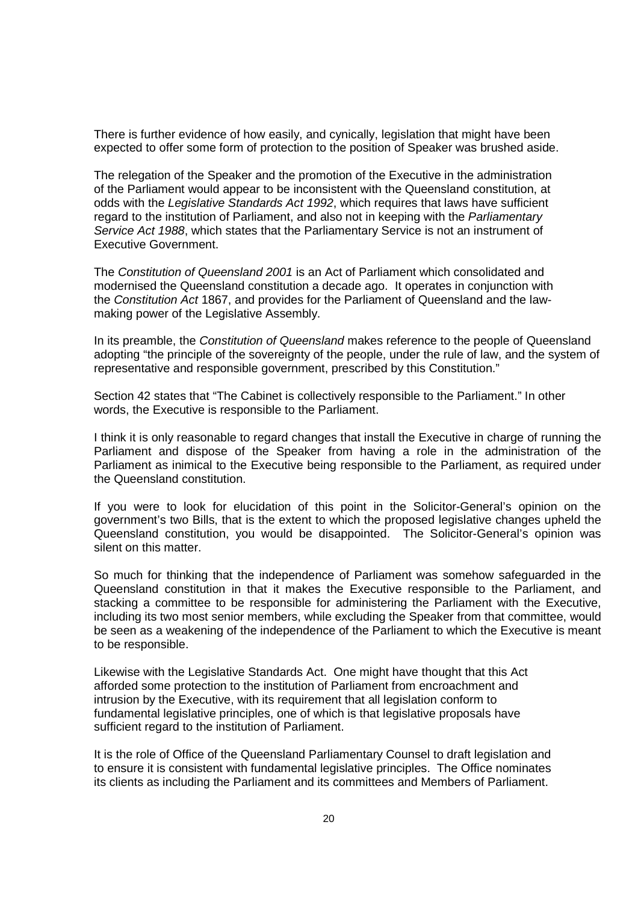There is further evidence of how easily, and cynically, legislation that might have been expected to offer some form of protection to the position of Speaker was brushed aside.

The relegation of the Speaker and the promotion of the Executive in the administration of the Parliament would appear to be inconsistent with the Queensland constitution, at odds with the Legislative Standards Act 1992, which requires that laws have sufficient regard to the institution of Parliament, and also not in keeping with the Parliamentary Service Act 1988, which states that the Parliamentary Service is not an instrument of Executive Government.

The Constitution of Queensland 2001 is an Act of Parliament which consolidated and modernised the Queensland constitution a decade ago. It operates in conjunction with the Constitution Act 1867, and provides for the Parliament of Queensland and the lawmaking power of the Legislative Assembly.

In its preamble, the Constitution of Queensland makes reference to the people of Queensland adopting "the principle of the sovereignty of the people, under the rule of law, and the system of representative and responsible government, prescribed by this Constitution."

Section 42 states that "The Cabinet is collectively responsible to the Parliament." In other words, the Executive is responsible to the Parliament.

I think it is only reasonable to regard changes that install the Executive in charge of running the Parliament and dispose of the Speaker from having a role in the administration of the Parliament as inimical to the Executive being responsible to the Parliament, as required under the Queensland constitution.

If you were to look for elucidation of this point in the Solicitor-General's opinion on the government's two Bills, that is the extent to which the proposed legislative changes upheld the Queensland constitution, you would be disappointed. The Solicitor-General's opinion was silent on this matter.

So much for thinking that the independence of Parliament was somehow safeguarded in the Queensland constitution in that it makes the Executive responsible to the Parliament, and stacking a committee to be responsible for administering the Parliament with the Executive, including its two most senior members, while excluding the Speaker from that committee, would be seen as a weakening of the independence of the Parliament to which the Executive is meant to be responsible.

Likewise with the Legislative Standards Act. One might have thought that this Act afforded some protection to the institution of Parliament from encroachment and intrusion by the Executive, with its requirement that all legislation conform to fundamental legislative principles, one of which is that legislative proposals have sufficient regard to the institution of Parliament.

It is the role of Office of the Queensland Parliamentary Counsel to draft legislation and to ensure it is consistent with fundamental legislative principles. The Office nominates its clients as including the Parliament and its committees and Members of Parliament.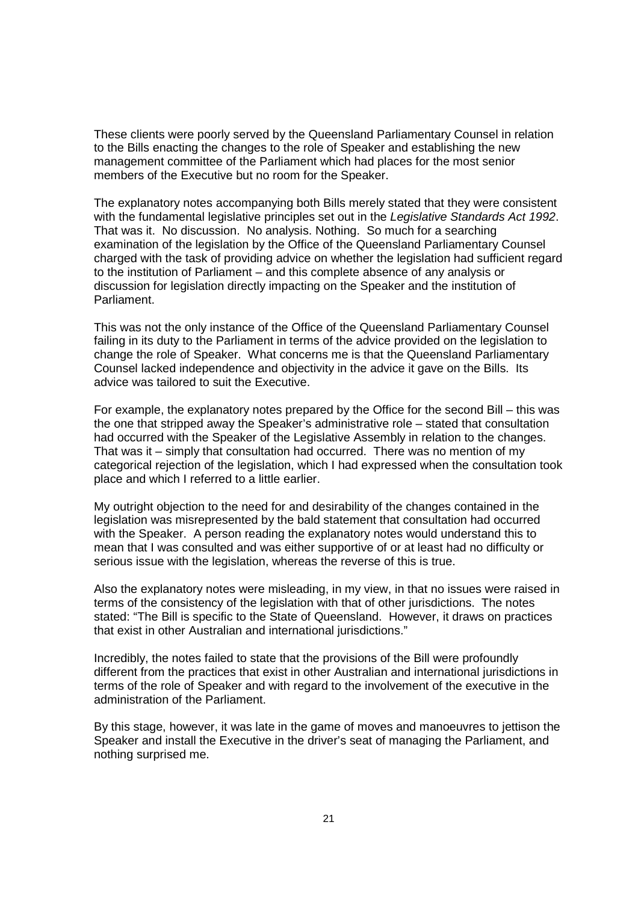These clients were poorly served by the Queensland Parliamentary Counsel in relation to the Bills enacting the changes to the role of Speaker and establishing the new management committee of the Parliament which had places for the most senior members of the Executive but no room for the Speaker.

The explanatory notes accompanying both Bills merely stated that they were consistent with the fundamental legislative principles set out in the Legislative Standards Act 1992. That was it. No discussion. No analysis. Nothing. So much for a searching examination of the legislation by the Office of the Queensland Parliamentary Counsel charged with the task of providing advice on whether the legislation had sufficient regard to the institution of Parliament – and this complete absence of any analysis or discussion for legislation directly impacting on the Speaker and the institution of Parliament.

This was not the only instance of the Office of the Queensland Parliamentary Counsel failing in its duty to the Parliament in terms of the advice provided on the legislation to change the role of Speaker. What concerns me is that the Queensland Parliamentary Counsel lacked independence and objectivity in the advice it gave on the Bills. Its advice was tailored to suit the Executive.

For example, the explanatory notes prepared by the Office for the second Bill – this was the one that stripped away the Speaker's administrative role – stated that consultation had occurred with the Speaker of the Legislative Assembly in relation to the changes. That was it – simply that consultation had occurred. There was no mention of my categorical rejection of the legislation, which I had expressed when the consultation took place and which I referred to a little earlier.

My outright objection to the need for and desirability of the changes contained in the legislation was misrepresented by the bald statement that consultation had occurred with the Speaker. A person reading the explanatory notes would understand this to mean that I was consulted and was either supportive of or at least had no difficulty or serious issue with the legislation, whereas the reverse of this is true.

Also the explanatory notes were misleading, in my view, in that no issues were raised in terms of the consistency of the legislation with that of other jurisdictions. The notes stated: "The Bill is specific to the State of Queensland. However, it draws on practices that exist in other Australian and international jurisdictions."

Incredibly, the notes failed to state that the provisions of the Bill were profoundly different from the practices that exist in other Australian and international jurisdictions in terms of the role of Speaker and with regard to the involvement of the executive in the administration of the Parliament.

By this stage, however, it was late in the game of moves and manoeuvres to jettison the Speaker and install the Executive in the driver's seat of managing the Parliament, and nothing surprised me.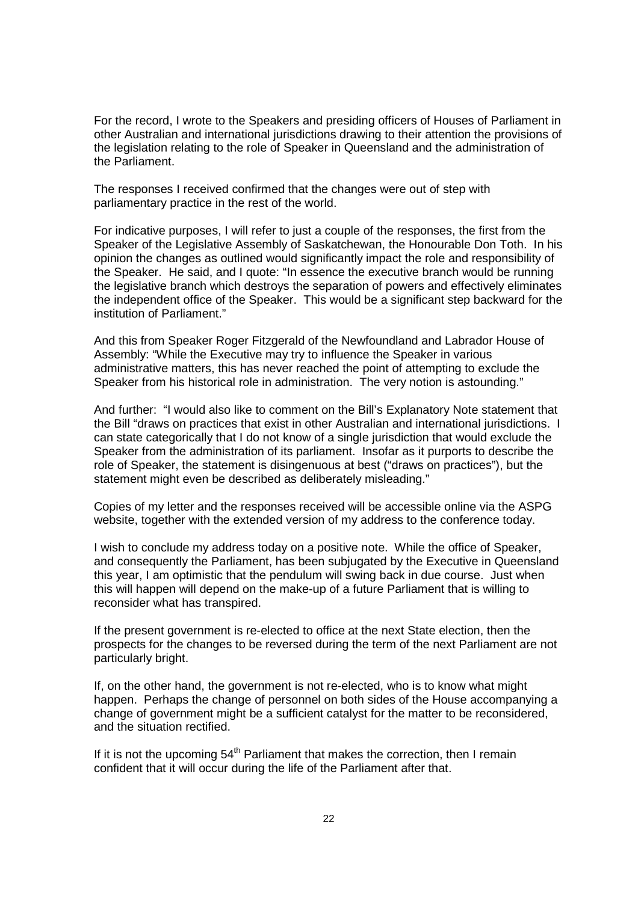For the record, I wrote to the Speakers and presiding officers of Houses of Parliament in other Australian and international jurisdictions drawing to their attention the provisions of the legislation relating to the role of Speaker in Queensland and the administration of the Parliament.

The responses I received confirmed that the changes were out of step with parliamentary practice in the rest of the world.

For indicative purposes, I will refer to just a couple of the responses, the first from the Speaker of the Legislative Assembly of Saskatchewan, the Honourable Don Toth. In his opinion the changes as outlined would significantly impact the role and responsibility of the Speaker. He said, and I quote: "In essence the executive branch would be running the legislative branch which destroys the separation of powers and effectively eliminates the independent office of the Speaker. This would be a significant step backward for the institution of Parliament."

And this from Speaker Roger Fitzgerald of the Newfoundland and Labrador House of Assembly: "While the Executive may try to influence the Speaker in various administrative matters, this has never reached the point of attempting to exclude the Speaker from his historical role in administration. The very notion is astounding."

And further: "I would also like to comment on the Bill's Explanatory Note statement that the Bill "draws on practices that exist in other Australian and international jurisdictions. I can state categorically that I do not know of a single jurisdiction that would exclude the Speaker from the administration of its parliament. Insofar as it purports to describe the role of Speaker, the statement is disingenuous at best ("draws on practices"), but the statement might even be described as deliberately misleading."

Copies of my letter and the responses received will be accessible online via the ASPG website, together with the extended version of my address to the conference today.

I wish to conclude my address today on a positive note. While the office of Speaker, and consequently the Parliament, has been subjugated by the Executive in Queensland this year, I am optimistic that the pendulum will swing back in due course. Just when this will happen will depend on the make-up of a future Parliament that is willing to reconsider what has transpired.

If the present government is re-elected to office at the next State election, then the prospects for the changes to be reversed during the term of the next Parliament are not particularly bright.

If, on the other hand, the government is not re-elected, who is to know what might happen. Perhaps the change of personnel on both sides of the House accompanying a change of government might be a sufficient catalyst for the matter to be reconsidered, and the situation rectified.

If it is not the upcoming  $54<sup>th</sup>$  Parliament that makes the correction, then I remain confident that it will occur during the life of the Parliament after that.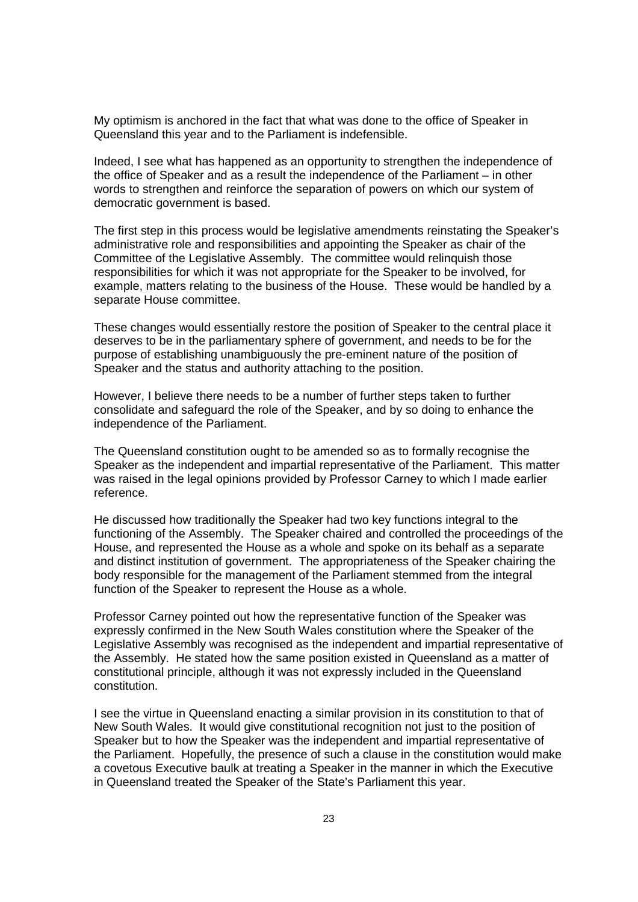My optimism is anchored in the fact that what was done to the office of Speaker in Queensland this year and to the Parliament is indefensible.

Indeed, I see what has happened as an opportunity to strengthen the independence of the office of Speaker and as a result the independence of the Parliament – in other words to strengthen and reinforce the separation of powers on which our system of democratic government is based.

The first step in this process would be legislative amendments reinstating the Speaker's administrative role and responsibilities and appointing the Speaker as chair of the Committee of the Legislative Assembly. The committee would relinquish those responsibilities for which it was not appropriate for the Speaker to be involved, for example, matters relating to the business of the House. These would be handled by a separate House committee.

These changes would essentially restore the position of Speaker to the central place it deserves to be in the parliamentary sphere of government, and needs to be for the purpose of establishing unambiguously the pre-eminent nature of the position of Speaker and the status and authority attaching to the position.

However, I believe there needs to be a number of further steps taken to further consolidate and safeguard the role of the Speaker, and by so doing to enhance the independence of the Parliament.

The Queensland constitution ought to be amended so as to formally recognise the Speaker as the independent and impartial representative of the Parliament. This matter was raised in the legal opinions provided by Professor Carney to which I made earlier reference.

He discussed how traditionally the Speaker had two key functions integral to the functioning of the Assembly. The Speaker chaired and controlled the proceedings of the House, and represented the House as a whole and spoke on its behalf as a separate and distinct institution of government. The appropriateness of the Speaker chairing the body responsible for the management of the Parliament stemmed from the integral function of the Speaker to represent the House as a whole.

Professor Carney pointed out how the representative function of the Speaker was expressly confirmed in the New South Wales constitution where the Speaker of the Legislative Assembly was recognised as the independent and impartial representative of the Assembly. He stated how the same position existed in Queensland as a matter of constitutional principle, although it was not expressly included in the Queensland constitution.

I see the virtue in Queensland enacting a similar provision in its constitution to that of New South Wales. It would give constitutional recognition not just to the position of Speaker but to how the Speaker was the independent and impartial representative of the Parliament. Hopefully, the presence of such a clause in the constitution would make a covetous Executive baulk at treating a Speaker in the manner in which the Executive in Queensland treated the Speaker of the State's Parliament this year.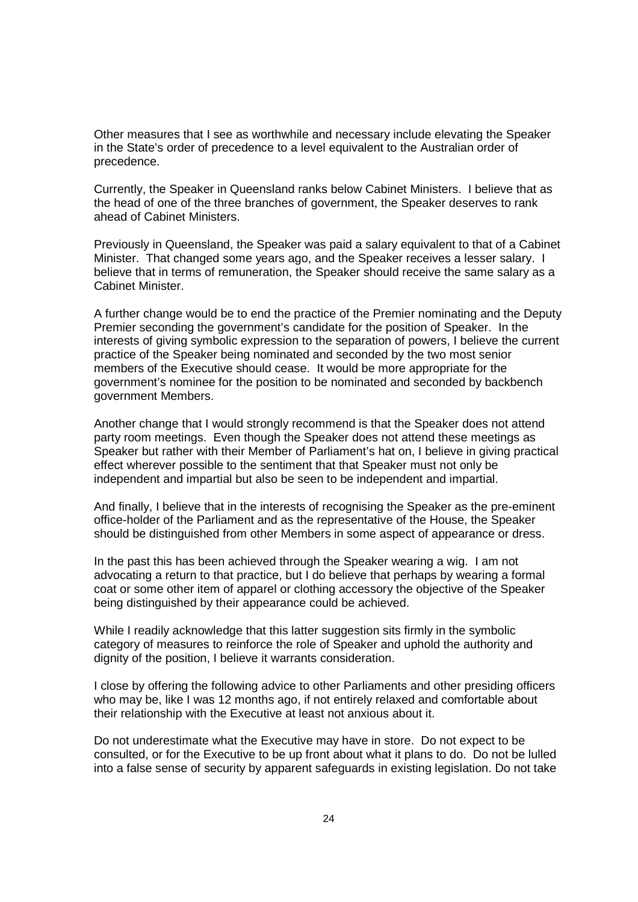Other measures that I see as worthwhile and necessary include elevating the Speaker in the State's order of precedence to a level equivalent to the Australian order of precedence.

Currently, the Speaker in Queensland ranks below Cabinet Ministers. I believe that as the head of one of the three branches of government, the Speaker deserves to rank ahead of Cabinet Ministers.

Previously in Queensland, the Speaker was paid a salary equivalent to that of a Cabinet Minister. That changed some years ago, and the Speaker receives a lesser salary. I believe that in terms of remuneration, the Speaker should receive the same salary as a Cabinet Minister.

A further change would be to end the practice of the Premier nominating and the Deputy Premier seconding the government's candidate for the position of Speaker. In the interests of giving symbolic expression to the separation of powers, I believe the current practice of the Speaker being nominated and seconded by the two most senior members of the Executive should cease. It would be more appropriate for the government's nominee for the position to be nominated and seconded by backbench government Members.

Another change that I would strongly recommend is that the Speaker does not attend party room meetings. Even though the Speaker does not attend these meetings as Speaker but rather with their Member of Parliament's hat on, I believe in giving practical effect wherever possible to the sentiment that that Speaker must not only be independent and impartial but also be seen to be independent and impartial.

And finally, I believe that in the interests of recognising the Speaker as the pre-eminent office-holder of the Parliament and as the representative of the House, the Speaker should be distinguished from other Members in some aspect of appearance or dress.

In the past this has been achieved through the Speaker wearing a wig. I am not advocating a return to that practice, but I do believe that perhaps by wearing a formal coat or some other item of apparel or clothing accessory the objective of the Speaker being distinguished by their appearance could be achieved.

While I readily acknowledge that this latter suggestion sits firmly in the symbolic category of measures to reinforce the role of Speaker and uphold the authority and dignity of the position, I believe it warrants consideration.

I close by offering the following advice to other Parliaments and other presiding officers who may be, like I was 12 months ago, if not entirely relaxed and comfortable about their relationship with the Executive at least not anxious about it.

Do not underestimate what the Executive may have in store. Do not expect to be consulted, or for the Executive to be up front about what it plans to do. Do not be lulled into a false sense of security by apparent safeguards in existing legislation. Do not take